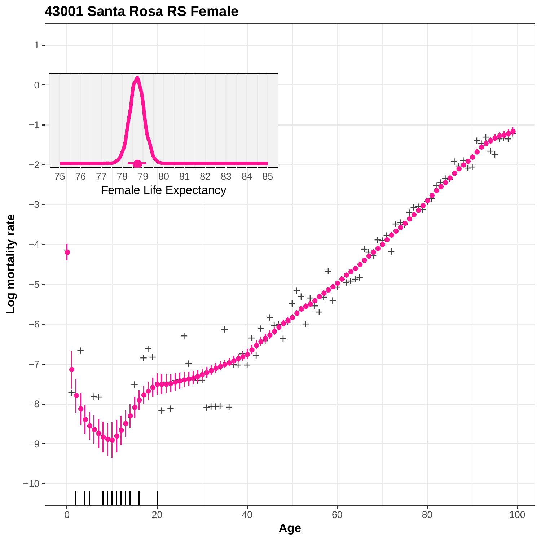

**43001 Santa Rosa RS Female**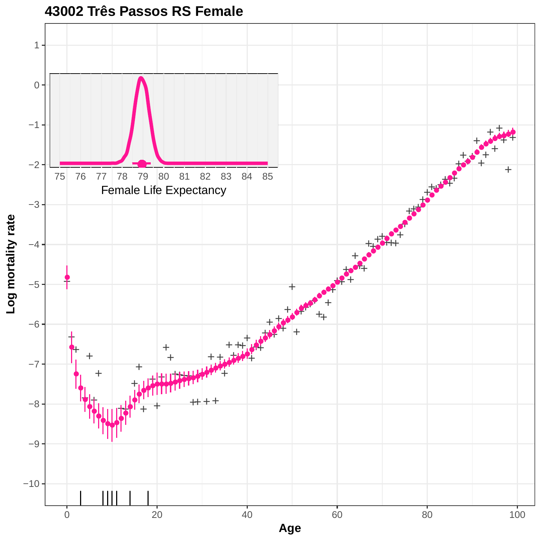

**43002 Três Passos RS Female**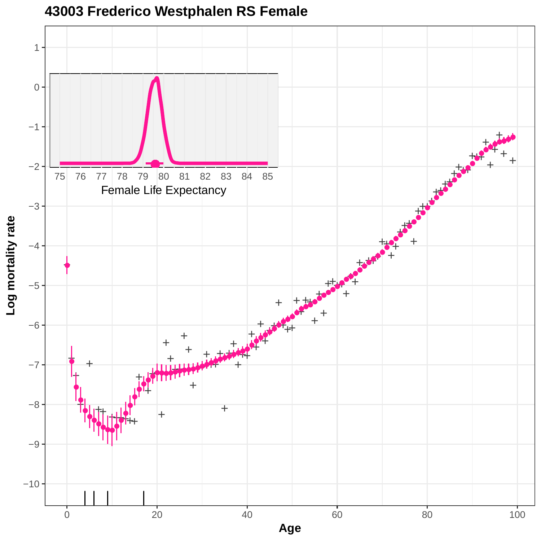

**43003 Frederico Westphalen RS Female**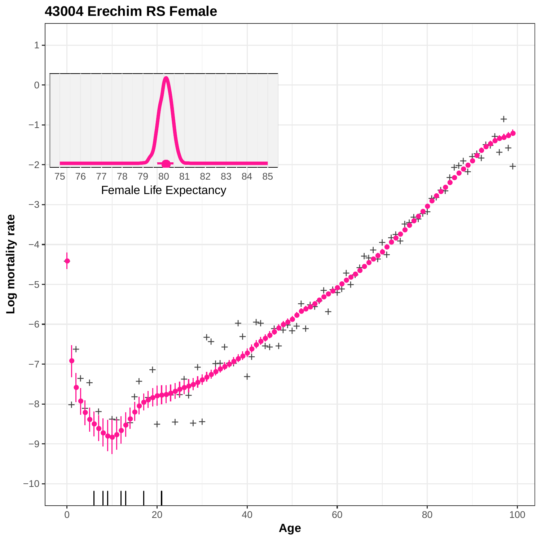

## **43004 Erechim RS Female**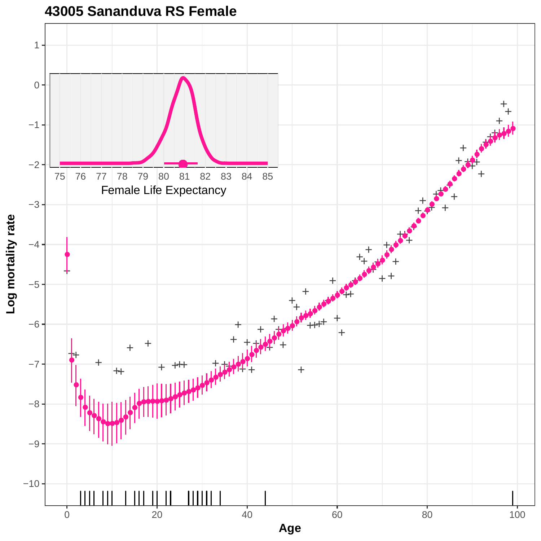

**43005 Sananduva RS Female**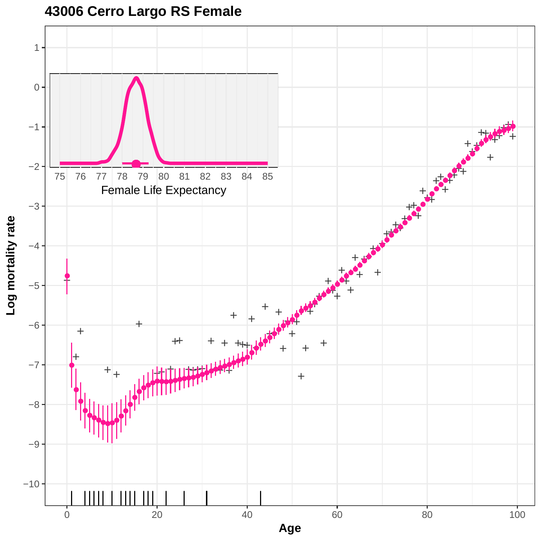

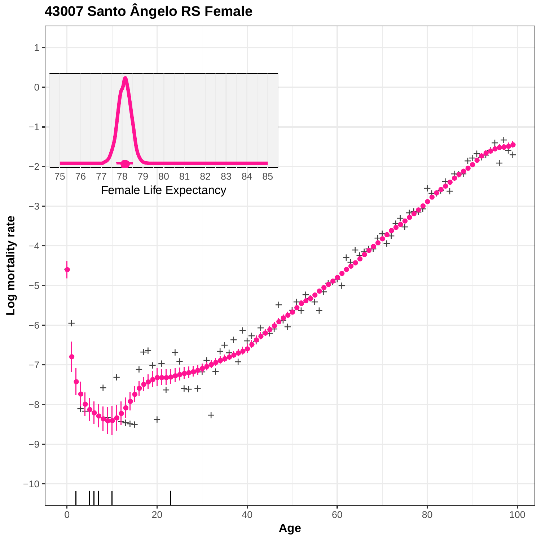

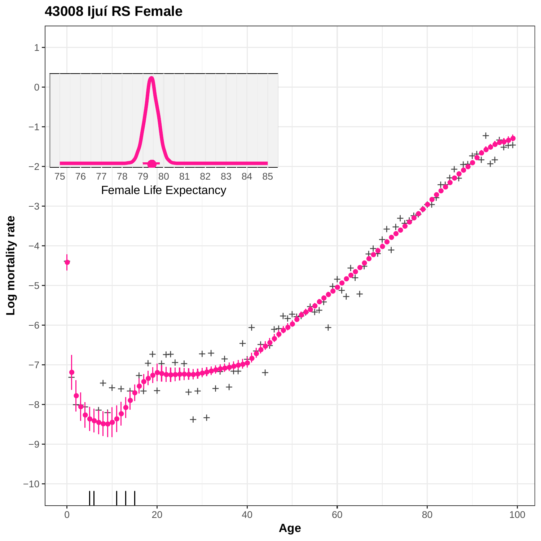

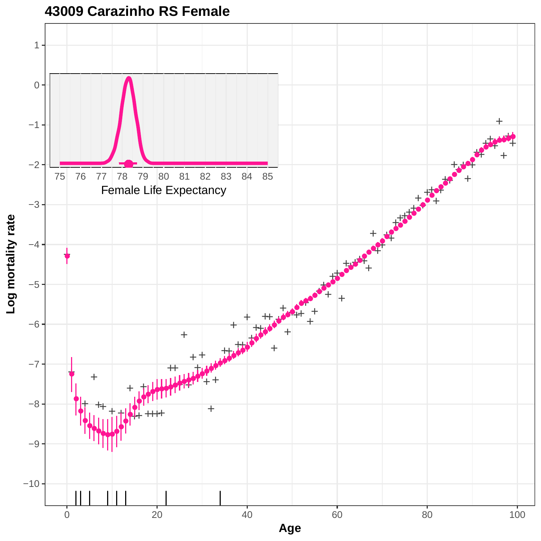

**43009 Carazinho RS Female**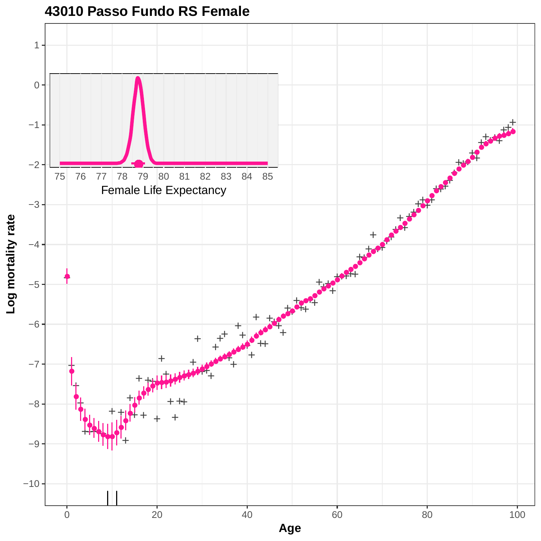

**43010 Passo Fundo RS Female**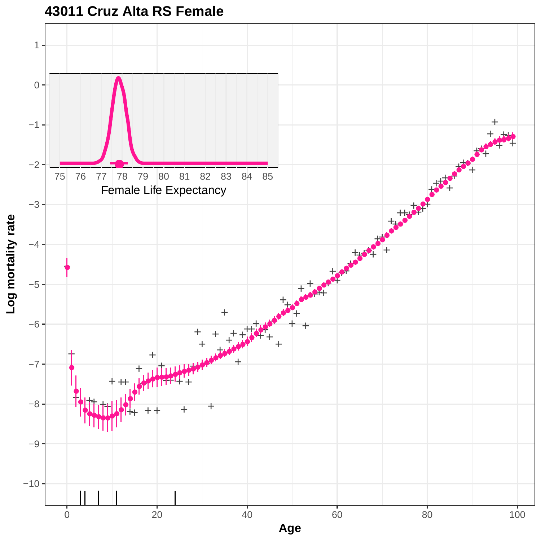

**43011 Cruz Alta RS Female**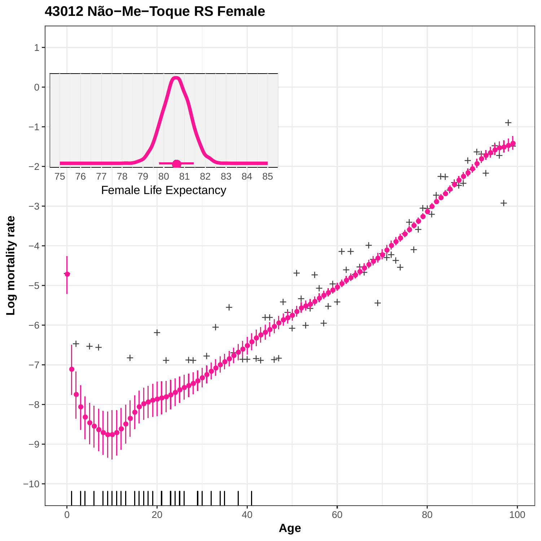

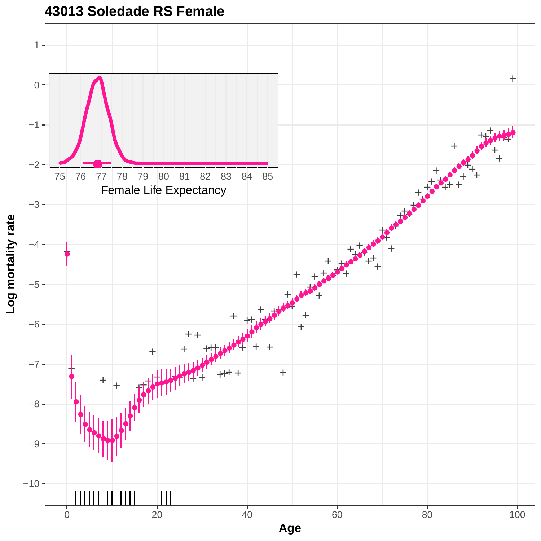

**43013 Soledade RS Female**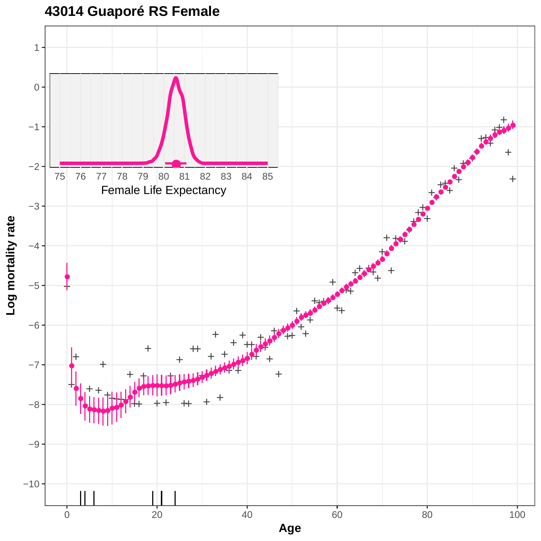**43014 Guaporé RS Female**

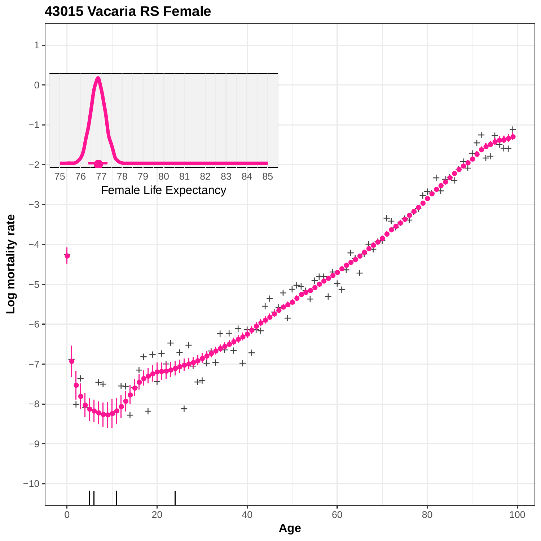

**43015 Vacaria RS Female**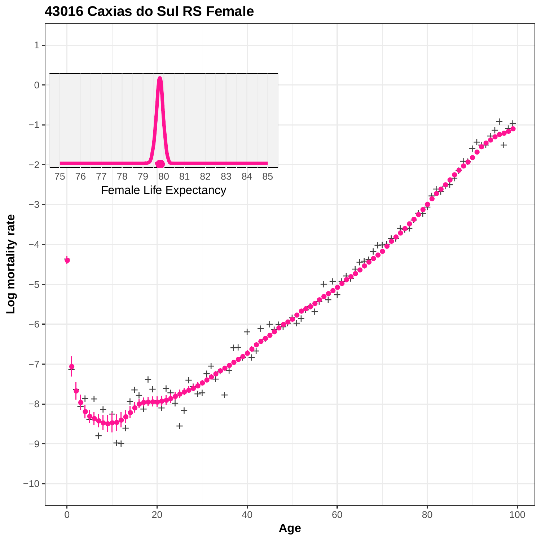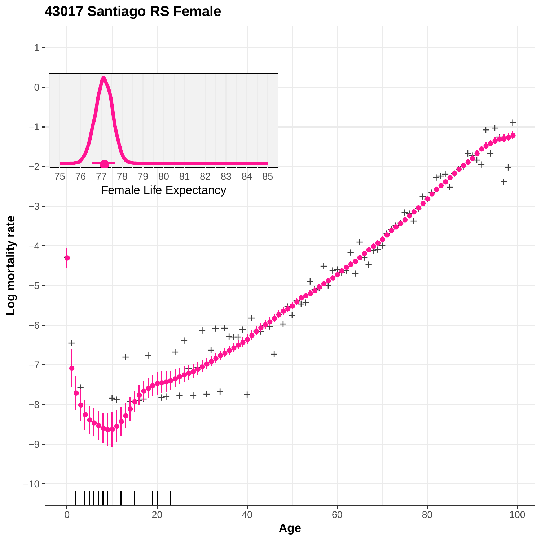**43017 Santiago RS Female**

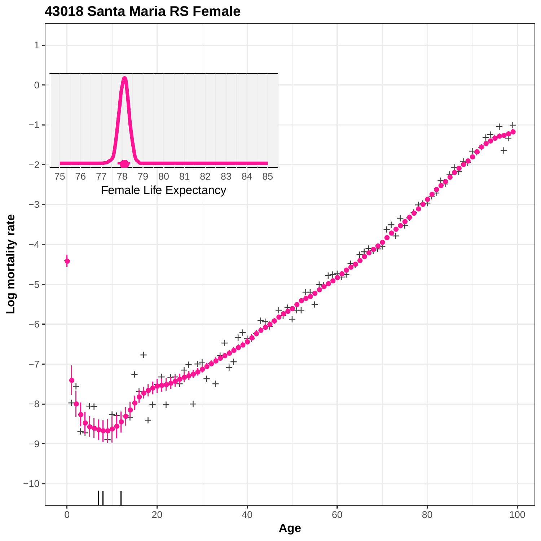

#### **43018 Santa Maria RS Female**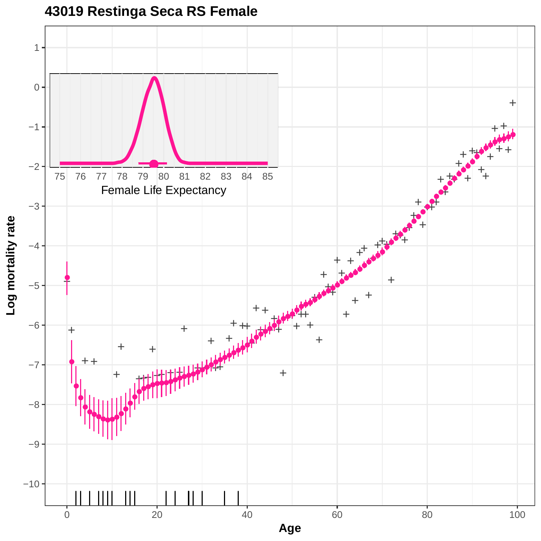

**43019 Restinga Seca RS Female**

**Log mortality rate**

0 20 20 40 60 80 80 100 **Age**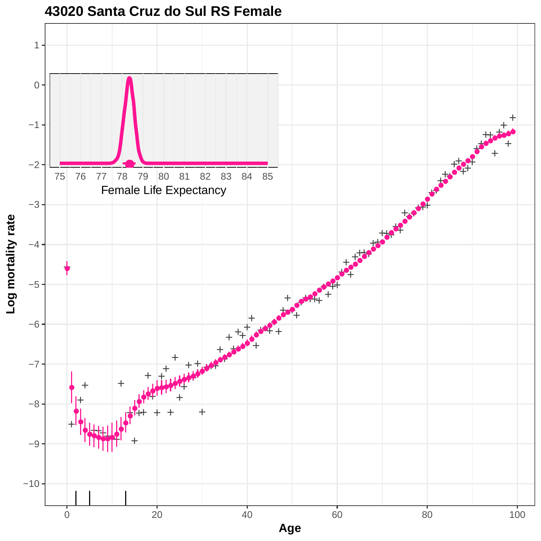

## **43020 Santa Cruz do Sul RS Female**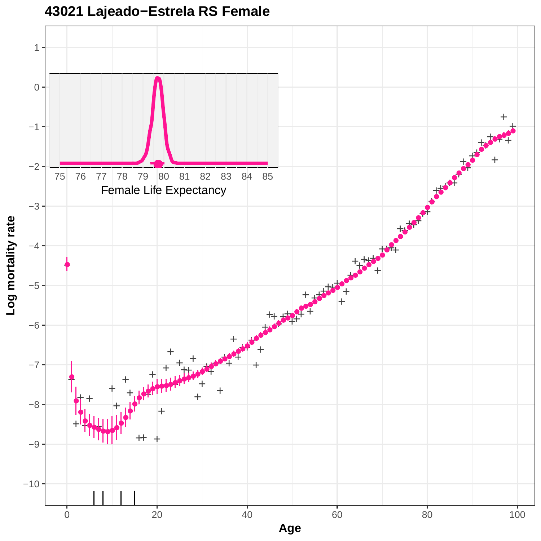

# **43021 Lajeado−Estrela RS Female**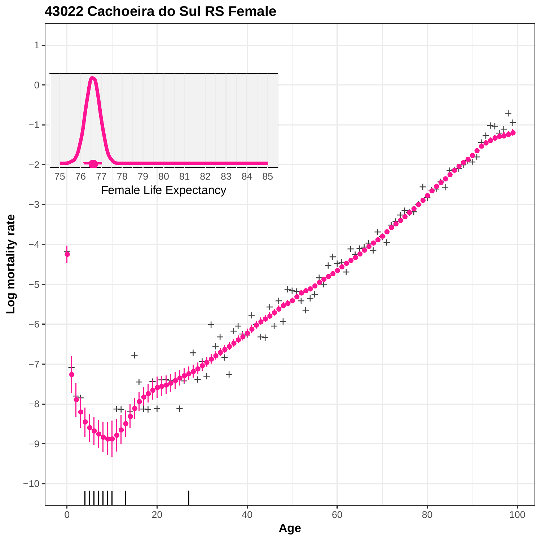

### **43022 Cachoeira do Sul RS Female**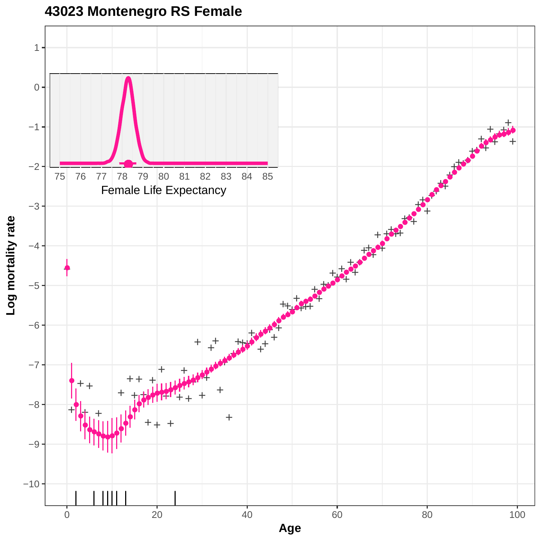

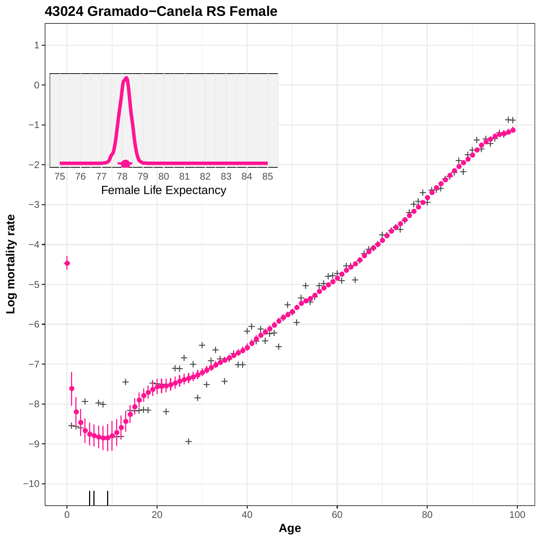

## **43024 Gramado−Canela RS Female**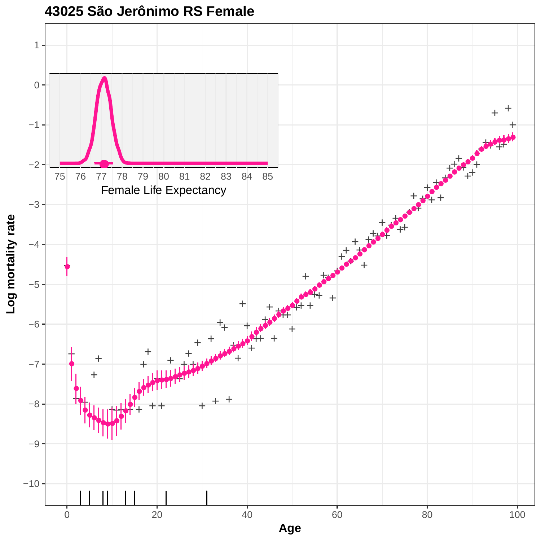

### **43025 São Jerônimo RS Female**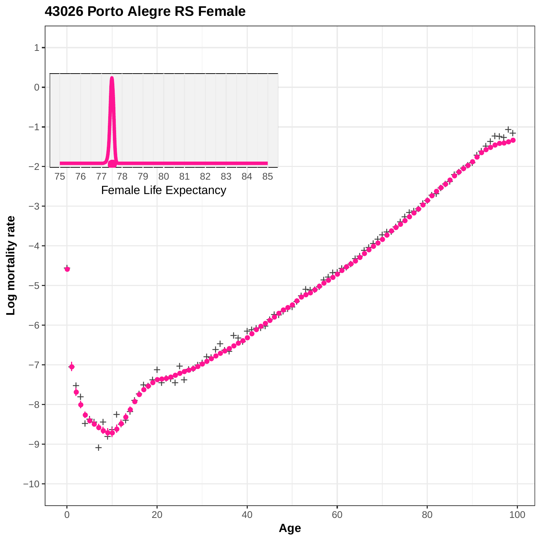

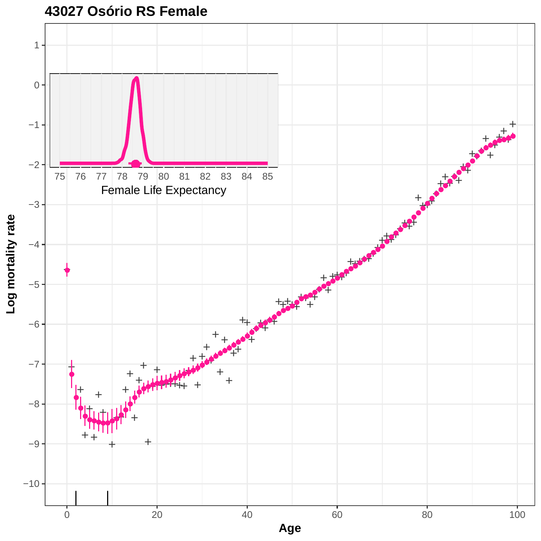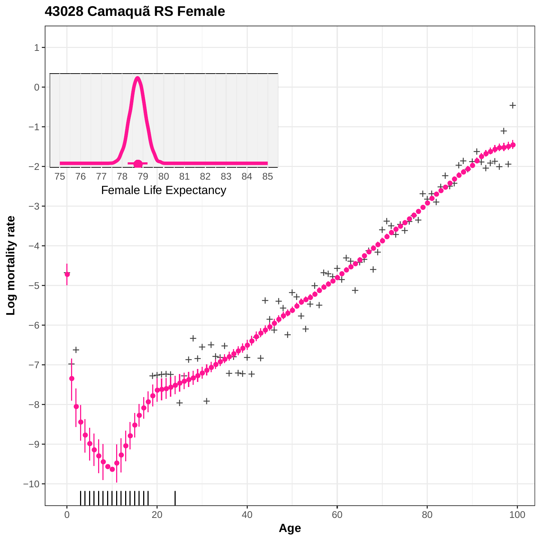**43028 Camaquã RS Female**

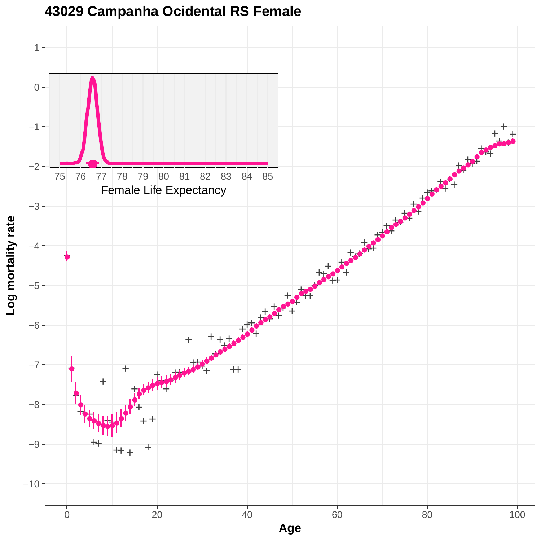

## **43029 Campanha Ocidental RS Female**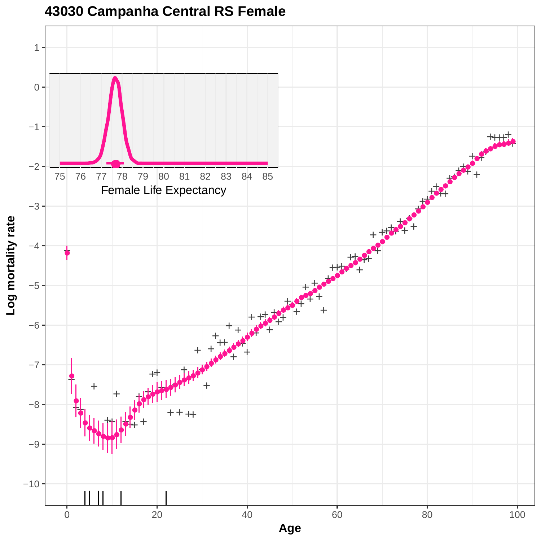

## **43030 Campanha Central RS Female**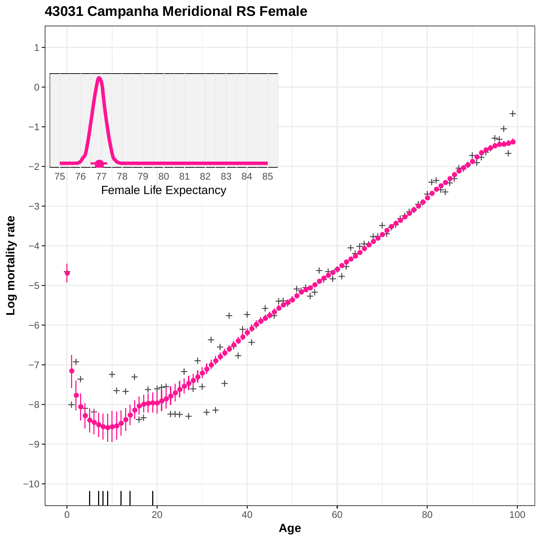

**43031 Campanha Meridional RS Female**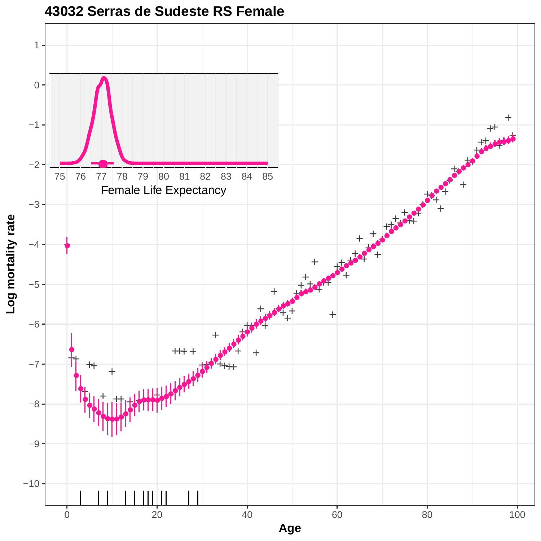

**43032 Serras de Sudeste RS Female**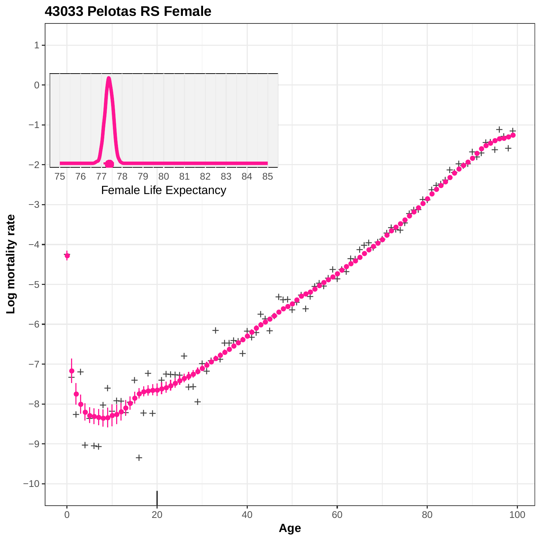![](_page_32_Figure_0.jpeg)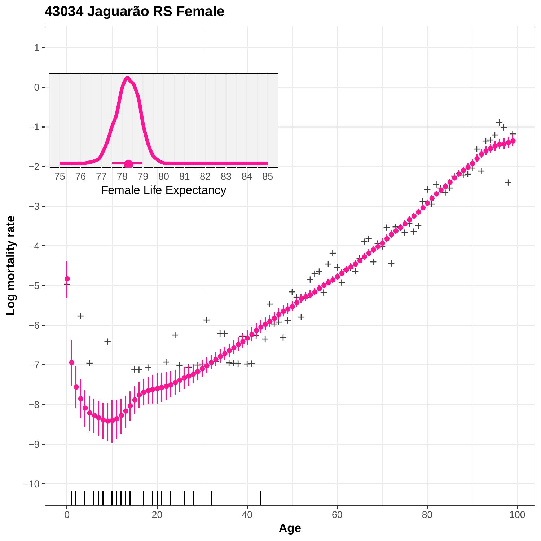![](_page_33_Figure_0.jpeg)

# **43034 Jaguarão RS Female**

**Log mortality rate**

**Age**

0 20 20 40 60 80 80 100